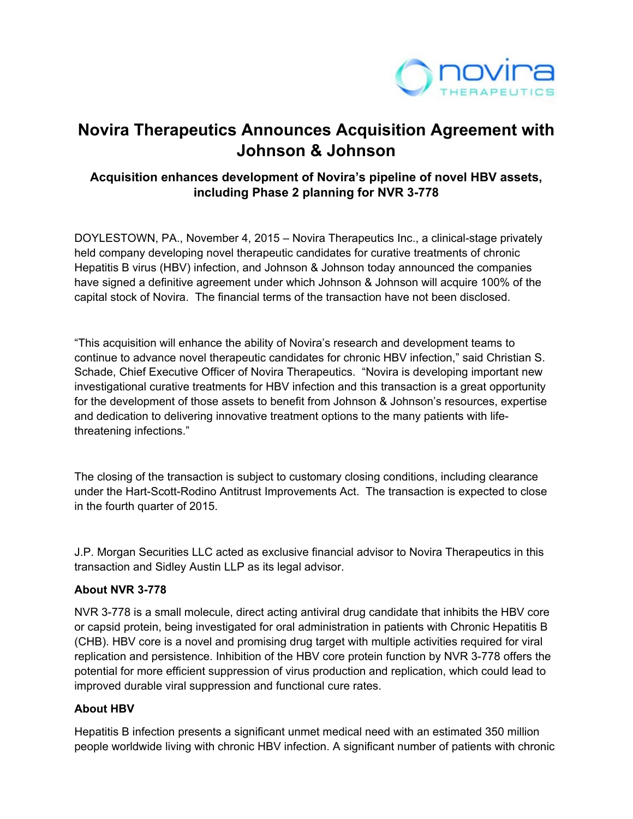

# **Novira Therapeutics Announces Acquisition Agreement with Johnson & Johnson**

# **Acquisition enhances development of Novira's pipeline of novel HBV assets, including Phase 2 planning for NVR 3-778**

DOYLESTOWN, PA., November 4, 2015 – Novira Therapeutics Inc., a clinical-stage privately held company developing novel therapeutic candidates for curative treatments of chronic Hepatitis B virus (HBV) infection, and Johnson & Johnson today announced the companies have signed a definitive agreement under which Johnson & Johnson will acquire 100% of the capital stock of Novira. The financial terms of the transaction have not been disclosed.

"This acquisition will enhance the ability of Novira's research and development teams to continue to advance novel therapeutic candidates for chronic HBV infection," said Christian S. Schade, Chief Executive Officer of Novira Therapeutics. "Novira is developing important new investigational curative treatments for HBV infection and this transaction is a great opportunity for the development of those assets to benefit from Johnson & Johnson's resources, expertise and dedication to delivering innovative treatment options to the many patients with lifethreatening infections."

The closing of the transaction is subject to customary closing conditions, including clearance under the Hart-Scott-Rodino Antitrust Improvements Act. The transaction is expected to close in the fourth quarter of 2015.

J.P. Morgan Securities LLC acted as exclusive financial advisor to Novira Therapeutics in this transaction and Sidley Austin LLP as its legal advisor.

#### **About NVR 3-778**

NVR 3-778 is a small molecule, direct acting antiviral drug candidate that inhibits the HBV core or capsid protein, being investigated for oral administration in patients with Chronic Hepatitis B (CHB). HBV core is a novel and promising drug target with multiple activities required for viral replication and persistence. Inhibition of the HBV core protein function by NVR 3-778 offers the potential for more efficient suppression of virus production and replication, which could lead to improved durable viral suppression and functional cure rates.

## **About HBV**

Hepatitis B infection presents a significant unmet medical need with an estimated 350 million people worldwide living with chronic HBV infection. A significant number of patients with chronic